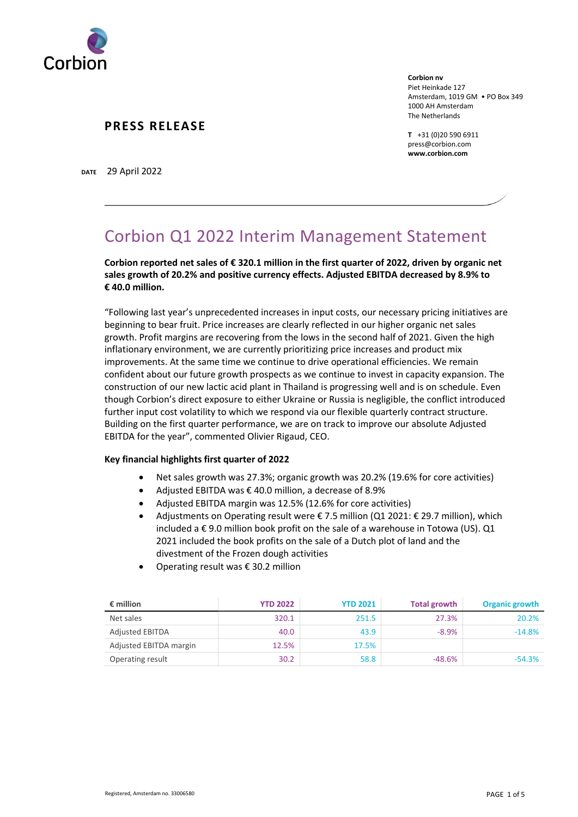

**Corbion nv** Piet Heinkade 127 Amsterdam, 1019 GM • PO Box 349 1000 AH Amsterdam The Netherlands

**T** +31 (0)20 590 6911 press@corbion.com **www.corbion.com**

**DATE** 29 April 2022

# Corbion Q1 2022 Interim Management Statement

**Corbion reported net sales of € 320.1 million in the first quarter of 2022, driven by organic net sales growth of 20.2% and positive currency effects. Adjusted EBITDA decreased by 8.9% to € 40.0 million.**

"Following last year's unprecedented increases in input costs, our necessary pricing initiatives are beginning to bear fruit. Price increases are clearly reflected in our higher organic net sales growth. Profit margins are recovering from the lows in the second half of 2021. Given the high inflationary environment, we are currently prioritizing price increases and product mix improvements. At the same time we continue to drive operational efficiencies. We remain confident about our future growth prospects as we continue to invest in capacity expansion. The construction of our new lactic acid plant in Thailand is progressing well and is on schedule. Even though Corbion's direct exposure to either Ukraine or Russia is negligible, the conflict introduced further input cost volatility to which we respond via our flexible quarterly contract structure. Building on the first quarter performance, we are on track to improve our absolute Adjusted EBITDA for the year", commented Olivier Rigaud, CEO.

#### **Key financial highlights first quarter of 2022**

- Net sales growth was 27.3%; organic growth was 20.2% (19.6% for core activities)
- Adjusted EBITDA was € 40.0 million, a decrease of 8.9%
- Adjusted EBITDA margin was 12.5% (12.6% for core activities)
- Adjustments on Operating result were  $\epsilon$  7.5 million (Q1 2021:  $\epsilon$  29.7 million), which included a  $\epsilon$  9.0 million book profit on the sale of a warehouse in Totowa (US). Q1 2021 included the book profits on the sale of a Dutch plot of land and the divestment of the Frozen dough activities
- Operating result was € 30.2 million

| $\epsilon$ million     | <b>YTD 2022</b> | <b>YTD 2021</b> | <b>Total growth</b> | <b>Organic growth</b> |
|------------------------|-----------------|-----------------|---------------------|-----------------------|
| Net sales              | 320.1           | 251.5           | 27.3%               | 20.2%                 |
| <b>Adjusted EBITDA</b> | 40.0            | 43.9            | $-8.9%$             | $-14.8%$              |
| Adjusted EBITDA margin | 12.5%           | 17.5%           |                     |                       |
| Operating result       | 30.2            | 58.8            | $-48.6%$            | $-54.3%$              |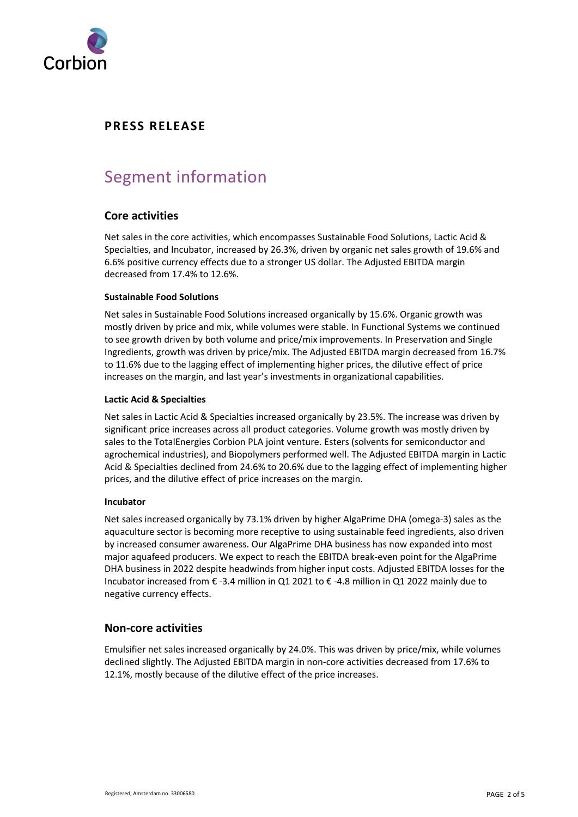

# Segment information

#### **Core activities**

Net sales in the core activities, which encompasses Sustainable Food Solutions, Lactic Acid & Specialties, and Incubator, increased by 26.3%, driven by organic net sales growth of 19.6% and 6.6% positive currency effects due to a stronger US dollar. The Adjusted EBITDA margin decreased from 17.4% to 12.6%.

#### **Sustainable Food Solutions**

Net sales in Sustainable Food Solutions increased organically by 15.6%. Organic growth was mostly driven by price and mix, while volumes were stable. In Functional Systems we continued to see growth driven by both volume and price/mix improvements. In Preservation and Single Ingredients, growth was driven by price/mix. The Adjusted EBITDA margin decreased from 16.7% to 11.6% due to the lagging effect of implementing higher prices, the dilutive effect of price increases on the margin, and last year's investments in organizational capabilities.

#### **Lactic Acid & Specialties**

Net sales in Lactic Acid & Specialties increased organically by 23.5%. The increase was driven by significant price increases across all product categories. Volume growth was mostly driven by sales to the TotalEnergies Corbion PLA joint venture. Esters (solvents for semiconductor and agrochemical industries), and Biopolymers performed well. The Adjusted EBITDA margin in Lactic Acid & Specialties declined from 24.6% to 20.6% due to the lagging effect of implementing higher prices, and the dilutive effect of price increases on the margin.

#### **Incubator**

Net sales increased organically by 73.1% driven by higher AlgaPrime DHA (omega-3) sales as the aquaculture sector is becoming more receptive to using sustainable feed ingredients, also driven by increased consumer awareness. Our AlgaPrime DHA business has now expanded into most major aquafeed producers. We expect to reach the EBITDA break-even point for the AlgaPrime DHA business in 2022 despite headwinds from higher input costs. Adjusted EBITDA losses for the Incubator increased from € -3.4 million in Q1 2021 to € -4.8 million in Q1 2022 mainly due to negative currency effects.

#### **Non-core activities**

Emulsifier net sales increased organically by 24.0%. This was driven by price/mix, while volumes declined slightly. The Adjusted EBITDA margin in non-core activities decreased from 17.6% to 12.1%, mostly because of the dilutive effect of the price increases.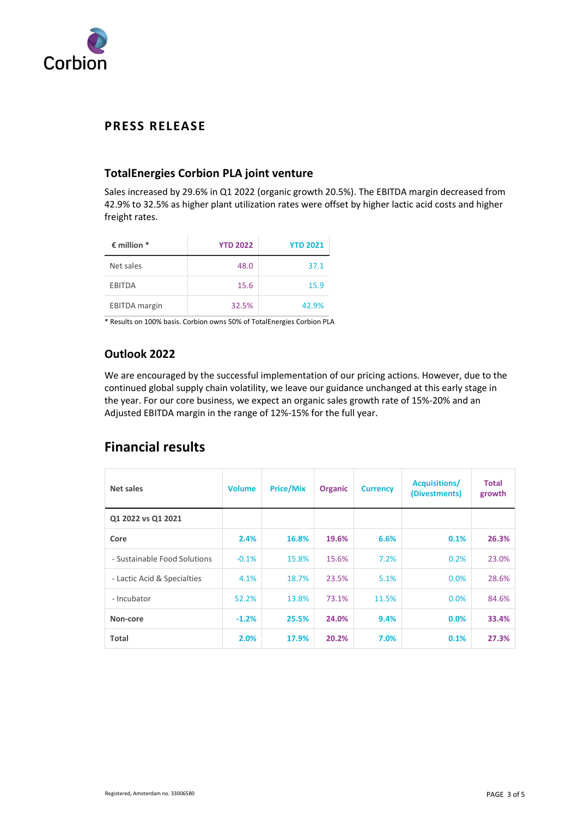

### **TotalEnergies Corbion PLA joint venture**

Sales increased by 29.6% in Q1 2022 (organic growth 20.5%). The EBITDA margin decreased from 42.9% to 32.5% as higher plant utilization rates were offset by higher lactic acid costs and higher freight rates.

| $\epsilon$ million $*$ | <b>YTD 2022</b> | <b>YTD 2021</b> |
|------------------------|-----------------|-----------------|
| Net sales              | 48.0            | 37.1            |
| <b>EBITDA</b>          | 15.6            | 15.9            |
| <b>EBITDA</b> margin   | 32.5%           | 42.9%           |

\* Results on 100% basis. Corbion owns 50% of TotalEnergies Corbion PLA

### **Outlook 2022**

We are encouraged by the successful implementation of our pricing actions. However, due to the continued global supply chain volatility, we leave our guidance unchanged at this early stage in the year. For our core business, we expect an organic sales growth rate of 15%-20% and an Adjusted EBITDA margin in the range of 12%-15% for the full year.

# **Financial results**

| Net sales                    | <b>Volume</b> | <b>Price/Mix</b> | <b>Organic</b> | <b>Currency</b> | <b>Acquisitions/</b><br>(Divestments) | <b>Total</b><br>growth |
|------------------------------|---------------|------------------|----------------|-----------------|---------------------------------------|------------------------|
| Q1 2022 vs Q1 2021           |               |                  |                |                 |                                       |                        |
| Core                         | 2.4%          | 16.8%            | 19.6%          | 6.6%            | 0.1%                                  | 26.3%                  |
| - Sustainable Food Solutions | $-0.1%$       | 15.8%            | 15.6%          | 7.2%            | 0.2%                                  | 23.0%                  |
| - Lactic Acid & Specialties  | 4.1%          | 18.7%            | 23.5%          | 5.1%            | 0.0%                                  | 28.6%                  |
| - Incubator                  | 52.2%         | 13.8%            | 73.1%          | 11.5%           | 0.0%                                  | 84.6%                  |
| Non-core                     | $-1.2%$       | 25.5%            | 24.0%          | 9.4%            | 0.0%                                  | 33.4%                  |
| <b>Total</b>                 | 2.0%          | 17.9%            | 20.2%          | 7.0%            | 0.1%                                  | 27.3%                  |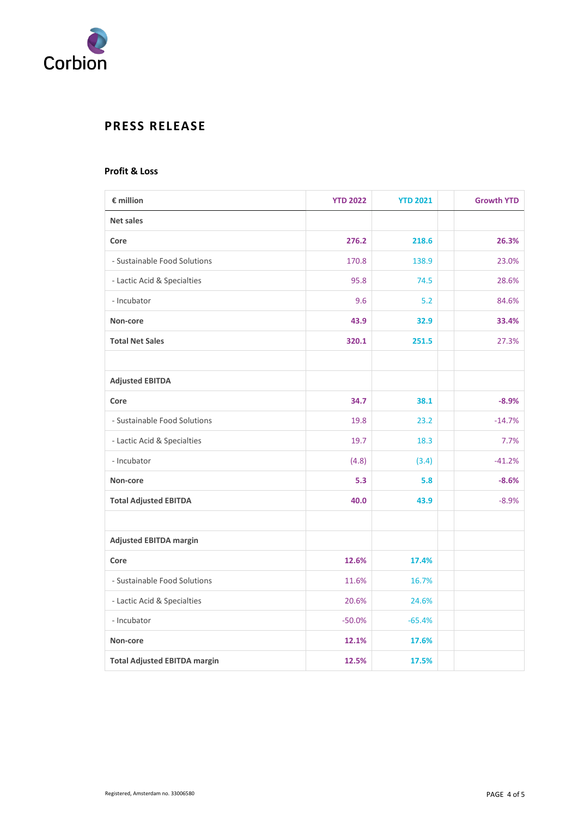

#### **Profit & Loss**

| € million                           | <b>YTD 2022</b> | <b>YTD 2021</b> | <b>Growth YTD</b> |
|-------------------------------------|-----------------|-----------------|-------------------|
| <b>Net sales</b>                    |                 |                 |                   |
| Core                                | 276.2           | 218.6           | 26.3%             |
| - Sustainable Food Solutions        | 170.8           | 138.9           | 23.0%             |
| - Lactic Acid & Specialties         | 95.8            | 74.5            | 28.6%             |
| - Incubator                         | 9.6             | 5.2             | 84.6%             |
| Non-core                            | 43.9            | 32.9            | 33.4%             |
| <b>Total Net Sales</b>              | 320.1           | 251.5           | 27.3%             |
|                                     |                 |                 |                   |
| <b>Adjusted EBITDA</b>              |                 |                 |                   |
| Core                                | 34.7            | 38.1            | $-8.9%$           |
| - Sustainable Food Solutions        | 19.8            | 23.2            | $-14.7%$          |
| - Lactic Acid & Specialties         | 19.7            | 18.3            | 7.7%              |
| - Incubator                         | (4.8)           | (3.4)           | $-41.2%$          |
| Non-core                            | 5.3             | 5.8             | $-8.6%$           |
| <b>Total Adjusted EBITDA</b>        | 40.0            | 43.9            | $-8.9%$           |
|                                     |                 |                 |                   |
| <b>Adjusted EBITDA margin</b>       |                 |                 |                   |
| Core                                | 12.6%           | 17.4%           |                   |
| - Sustainable Food Solutions        | 11.6%           | 16.7%           |                   |
| - Lactic Acid & Specialties         | 20.6%           | 24.6%           |                   |
| - Incubator                         | $-50.0%$        | $-65.4%$        |                   |
| Non-core                            | 12.1%           | 17.6%           |                   |
| <b>Total Adjusted EBITDA margin</b> | 12.5%           | 17.5%           |                   |